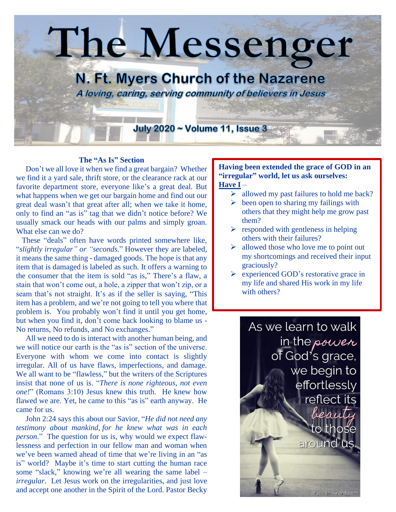

## **The "As Is" Section**

 Don't we all love it when we find a great bargain? Whether we find it a yard sale, thrift store, or the clearance rack at our favorite department store, everyone like's a great deal. But what happens when we get our bargain home and find out our great deal wasn't that great after all; when we take it home, only to find an "as is" tag that we didn't notice before? We usually smack our heads with our palms and simply groan. What else can we do?

 These "deals" often have words printed somewhere like, "*slightly irregular" or "seconds.*" However they are labeled, it means the same thing - damaged goods. The hope is that any item that is damaged is labeled as such. It offers a warning to the consumer that the item is sold "as is," There's a flaw, a stain that won't come out, a hole, a zipper that won't zip, or a seam that's not straight. It's as if the seller is saying, "This item has a problem, and we're not going to tell you where that problem is. You probably won't find it until you get home, but when you find it, don't come back looking to blame us - No returns, No refunds, and No exchanges."

 All we need to do is interact with another human being, and we will notice our earth is the "as is" section of the universe. Everyone with whom we come into contact is slightly irregular. All of us have flaws, imperfections, and damage. We all want to be "flawless," but the writers of the Scriptures insist that none of us is. "*There is none righteous, not even one!*" (Romans 3:10) Jesus knew this truth. He knew how flawed we are. Yet, he came to this "as is" earth anyway. He came for us.

 John 2:24 says this about our Savior, "*He did not need any testimony about mankind, for he knew what was in each person*." The question for us is, why would we expect flawlessness and perfection in our fellow man and woman when we've been warned ahead of time that we're living in an "as is" world? Maybe it's time to start cutting the human race some "slack," knowing we're all wearing the same label – *irregular*. Let Jesus work on the irregularities, and just love and accept one another in the Spirit of the Lord. Pastor Becky

## **Having been extended the grace of GOD in an "irregular" world, let us ask ourselves: Have I** –

- $\triangleright$  allowed my past failures to hold me back?
- $\triangleright$  been open to sharing my failings with others that they might help me grow past them?
- $\triangleright$  responded with gentleness in helping others with their failures?
- $\triangleright$  allowed those who love me to point out my shortcomings and received their input graciously?
- ➢ experienced GOD's restorative grace in my life and shared His work in my life with others?

As we learn to walk in the power of God's grace, we begin to effortlessly reflect its beauti `to those around us.

alyssajhoward.com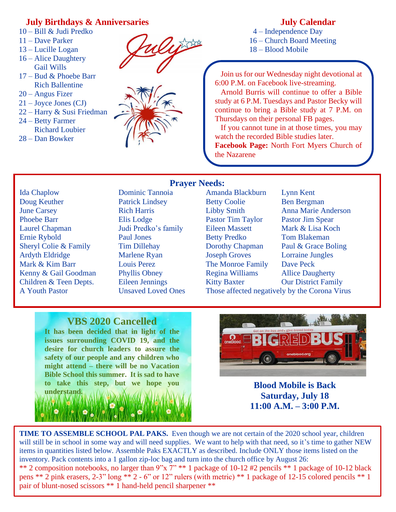# **July Birthdays & Anniversaries**

- 10 Bill & Judi Predko
- 11 Dave Parker
- 13 Lucille Logan
- 16 Alice Daughtery Gail Wills
- 17 Bud & Phoebe Barr Rich Ballentine
- 20 Angus Fizer
- 21 Joyce Jones (CJ)
- 22 Harry & Susi Friedman
- 24 Betty Farmer Richard Loubier
- 28 Dan Bowker



# **July Calendar**

 4 – Independence Day 16 – Church Board Meeting 18 – Blood Mobile

 Join us for our Wednesday night devotional at 6:00 P.M. on Facebook live-streaming.

 Arnold Burris will continue to offer a Bible study at 6 P.M. Tuesdays and Pastor Becky will continue to bring a Bible study at 7 P.M. on Thursdays on their personal FB pages.

 If you cannot tune in at those times, you may watch the recorded Bible studies later. **Facebook Page:** North Fort Myers Church of

Ida Chaplow Dominic Tannoia Amanda Blackburn Lynn Kent Doug Keuther Patrick Lindsey Betty Coolie Ben Bergman June Carsey Rich Harris Libby Smith Anna Marie Anderson Phoebe Barr Elis Lodge Pastor Tim Taylor Pastor Jim Spear Laurel Chapman Judi Predko's family Eileen Massett Mark & Lisa Koch Ernie Rybold Paul Jones Betty Predko Tom Blakeman Sheryl Colie & Family Tim Dillehay Dorothy Chapman Paul & Grace Boling Ardyth Eldridge Marlene Ryan Joseph Groves Lorraine Jungles Mark & Kim Barr Louis Perez The Monroe Family Dave Peck Kenny & Gail Goodman Phyllis Obney Regina Williams Allice Daugherty Children & Teen Depts. Eileen Jennings Kitty Baxter Our District Family

**Prayer Needs:**

the Nazarene

A Youth Pastor Unsaved Loved Ones Those affected negatively by the Corona Virus

# **VBS 2020 Cancelled**

**It has been decided that in light of the issues surrounding COVID 19, and the desire for church leaders to assure the safety of our people and any children who might attend – there will be no Vacation Bible School this summer. It is sad to have to take this step, but we hope you understand.**



**Blood Mobile is Back Saturday, July 18 11:00 A.M. – 3:00 P.M.**

**TIME TO ASSEMBLE SCHOOL PAL PAKS.** Even though we are not certain of the 2020 school year, children will still be in school in some way and will need supplies. We want to help with that need, so it's time to gather NEW items in quantities listed below. Assemble Paks EXACTLY as described. Include ONLY those items listed on the inventory. Pack contents into a 1 gallon zip-loc bag and turn into the church office by August 26: \*\* 2 composition notebooks, no larger than 9"x 7" \*\* 1 package of 10-12 #2 pencils \*\* 1 package of 10-12 black pens \*\* 2 pink erasers, 2-3" long \*\* 2 - 6" or 12" rulers (with metric) \*\* 1 package of 12-15 colored pencils \*\* 1 pair of blunt-nosed scissors \*\* 1 hand-held pencil sharpener \*\*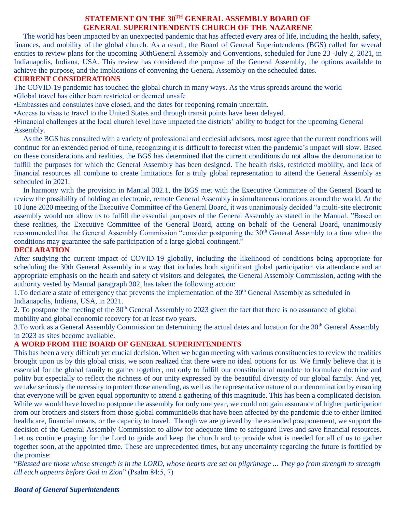# **STATEMENT ON THE 30TH GENERAL ASSEMBLY BOARD OF GENERAL SUPERINTENDENTS CHURCH OF THE NAZARENE**

 The world has been impacted by an unexpected pandemic that has affected every area of life, including the health, safety, finances, and mobility of the global church. As a result, the Board of General Superintendents (BGS) called for several entities to review plans for the upcoming 30thGeneral Assembly and Conventions, scheduled for June 23 -July 2, 2021, in Indianapolis, Indiana, USA. This review has considered the purpose of the General Assembly, the options available to achieve the purpose, and the implications of convening the General Assembly on the scheduled dates.

### **CURRENT CONSIDERATIONS**

The COVID-19 pandemic has touched the global church in many ways. As the virus spreads around the world

- •Global travel has either been restricted or deemed unsafe
- •Embassies and consulates have closed, and the dates for reopening remain uncertain.
- •Access to visas to travel to the United States and through transit points have been delayed.

•Financial challenges at the local church level have impacted the districts' ability to budget for the upcoming General Assembly.

 As the BGS has consulted with a variety of professional and ecclesial advisors, most agree that the current conditions will continue for an extended period of time, recognizing it is difficult to forecast when the pandemic's impact will slow. Based on these considerations and realities, the BGS has determined that the current conditions do not allow the denomination to fulfill the purposes for which the General Assembly has been designed. The health risks, restricted mobility, and lack of financial resources all combine to create limitations for a truly global representation to attend the General Assembly as scheduled in 2021.

 In harmony with the provision in Manual 302.1, the BGS met with the Executive Committee of the General Board to review the possibility of holding an electronic, remote General Assembly in simultaneous locations around the world. At the 10 June 2020 meeting of the Executive Committee of the General Board, it was unanimously decided "a multi-site electronic assembly would not allow us to fulfill the essential purposes of the General Assembly as stated in the Manual. "Based on these realities, the Executive Committee of the General Board, acting on behalf of the General Board, unanimously recommended that the General Assembly Commission "consider postponing the 30<sup>th</sup> General Assembly to a time when the conditions may guarantee the safe participation of a large global contingent."

## **DECLARATION**

After studying the current impact of COVID-19 globally, including the likelihood of conditions being appropriate for scheduling the 30th General Assembly in a way that includes both significant global participation via attendance and an appropriate emphasis on the health and safety of visitors and delegates, the General Assembly Commission, acting with the authority vested by Manual paragraph 302, has taken the following action:

1. To declare a state of emergency that prevents the implementation of the  $30<sup>th</sup>$  General Assembly as scheduled in Indianapolis, Indiana, USA, in 2021.

2. To postpone the meeting of the 30<sup>th</sup> General Assembly to 2023 given the fact that there is no assurance of global mobility and global economic recovery for at least two years.

3.To work as a General Assembly Commission on determining the actual dates and location for the 30<sup>th</sup> General Assembly in 2023 as sites become available.

# **A WORD FROM THE BOARD OF GENERAL SUPERINTENDENTS**

This has been a very difficult yet crucial decision. When we began meeting with various constituencies to review the realities brought upon us by this global crisis, we soon realized that there were no ideal options for us. We firmly believe that it is essential for the global family to gather together, not only to fulfill our constitutional mandate to formulate doctrine and polity but especially to reflect the richness of our unity expressed by the beautiful diversity of our global family. And yet, we take seriously the necessity to protect those attending, as well as the representative nature of our denomination by ensuring that everyone will be given equal opportunity to attend a gathering of this magnitude. This has been a complicated decision. While we would have loved to postpone the assembly for only one year, we could not gain assurance of higher participation from our brothers and sisters from those global communitie0s that have been affected by the pandemic due to either limited healthcare, financial means, or the capacity to travel. Though we are grieved by the extended postponement, we support the decision of the General Assembly Commission to allow for adequate time to safeguard lives and save financial resources. Let us continue praying for the Lord to guide and keep the church and to provide what is needed for all of us to gather together soon, at the appointed time. These are unprecedented times, but any uncertainty regarding the future is fortified by the promise:

"*Blessed are those whose strength is in the LORD, whose hearts are set on pilgrimage ... They go from strength to strength till each appears before God in Zion*" (Psalm 84:5, 7)

# *Board of General Superintendents*